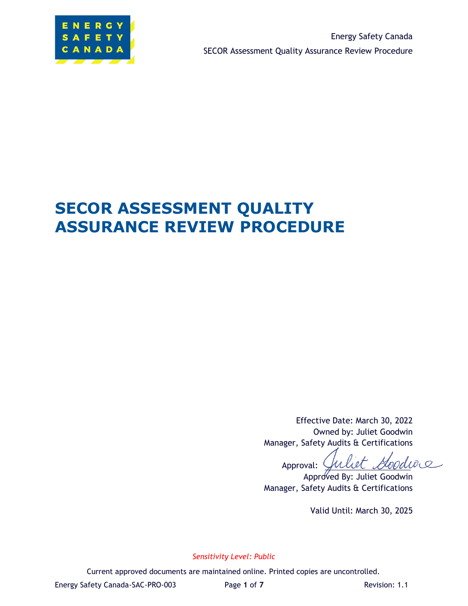

# **SECOR ASSESSMENT QUALITY ASSURANCE REVIEW PROCEDURE**

Effective Date: March 30, 2022 Owned by: Juliet Goodwin Manager, Safety Audits & Certifications

Juliet Goodwie Approval:

Approved By: Juliet Goodwin Manager, Safety Audits & Certifications

Valid Until: March 30, 2025

*Sensitivity Level: Public*

Current approved documents are maintained online. Printed copies are uncontrolled.

Energy Safety Canada-SAC-PRO-003 Page 1 of 7 Revision: 1.1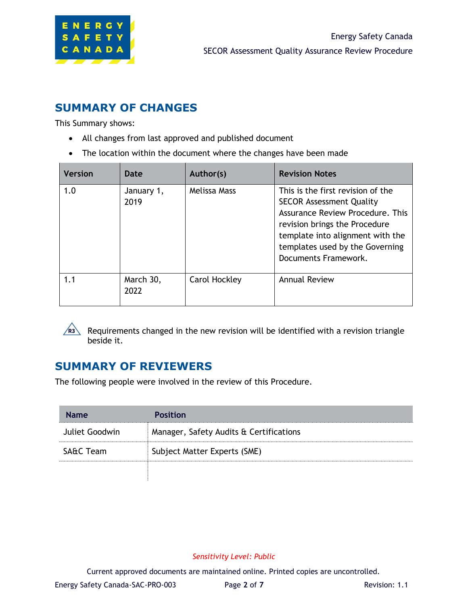

## **SUMMARY OF CHANGES**

This Summary shows:

- All changes from last approved and published document
- The location within the document where the changes have been made

| <b>Version</b> | Date               | Author(s)     | <b>Revision Notes</b>                                                                                                                                                                                                                    |
|----------------|--------------------|---------------|------------------------------------------------------------------------------------------------------------------------------------------------------------------------------------------------------------------------------------------|
| 1.0            | January 1,<br>2019 | Melissa Mass  | This is the first revision of the<br><b>SECOR Assessment Quality</b><br>Assurance Review Procedure. This<br>revision brings the Procedure<br>template into alignment with the<br>templates used by the Governing<br>Documents Framework. |
| 1.1            | March 30,<br>2022  | Carol Hockley | <b>Annual Review</b>                                                                                                                                                                                                                     |



Requirements changed in the new revision will be identified with a revision triangle beside it.

## **SUMMARY OF REVIEWERS**

The following people were involved in the review of this Procedure.

| <b>Name</b>    | <b>Position</b>                         |
|----------------|-----------------------------------------|
| Juliet Goodwin | Manager, Safety Audits & Certifications |
| SA&C Team      | Subject Matter Experts (SME)            |
|                |                                         |

### *Sensitivity Level: Public*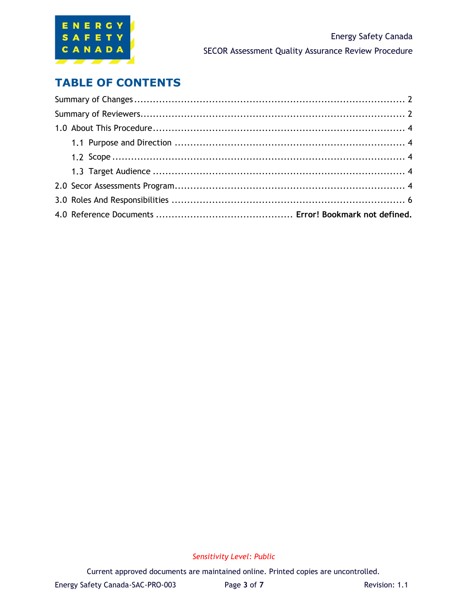

## **TABLE OF CONTENTS**

### *Sensitivity Level: Public*

Current approved documents are maintained online. Printed copies are uncontrolled.

Energy Safety Canada-SAC-PRO-003 Page 3 of 7 Revision: 1.1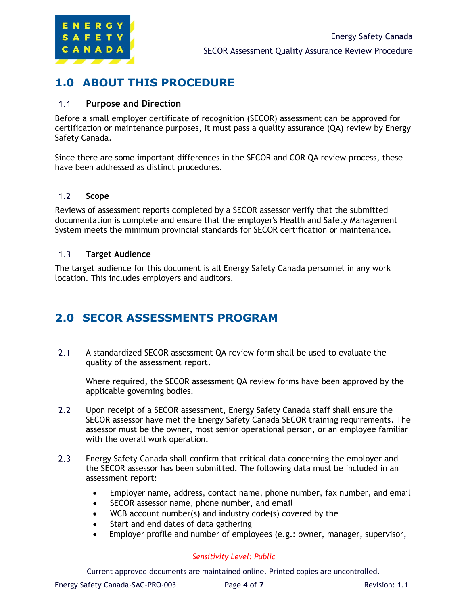

## **1.0 ABOUT THIS PROCEDURE**

#### $1.1$ **Purpose and Direction**

Before a small employer certificate of recognition (SECOR) assessment can be approved for certification or maintenance purposes, it must pass a quality assurance (QA) review by Energy Safety Canada.

Since there are some important differences in the SECOR and COR QA review process, these have been addressed as distinct procedures.

#### $1.2$ **Scope**

Reviews of assessment reports completed by a SECOR assessor verify that the submitted documentation is complete and ensure that the employer's Health and Safety Management System meets the minimum provincial standards for SECOR certification or maintenance.

#### $1.3$ **Target Audience**

The target audience for this document is all Energy Safety Canada personnel in any work location. This includes employers and auditors.

## **2.0 SECOR ASSESSMENTS PROGRAM**

 $2.1$ A standardized SECOR assessment QA review form shall be used to evaluate the quality of the assessment report.

Where required, the SECOR assessment QA review forms have been approved by the applicable governing bodies.

- $2.2$ Upon receipt of a SECOR assessment, Energy Safety Canada staff shall ensure the SECOR assessor have met the Energy Safety Canada SECOR training requirements. The assessor must be the owner, most senior operational person, or an employee familiar with the overall work operation.
- $2.3$ Energy Safety Canada shall confirm that critical data concerning the employer and the SECOR assessor has been submitted. The following data must be included in an assessment report:
	- Employer name, address, contact name, phone number, fax number, and email
	- SECOR assessor name, phone number, and email
	- WCB account number(s) and industry code(s) covered by the
	- Start and end dates of data gathering
	- Employer profile and number of employees (e.g.: owner, manager, supervisor,

### *Sensitivity Level: Public*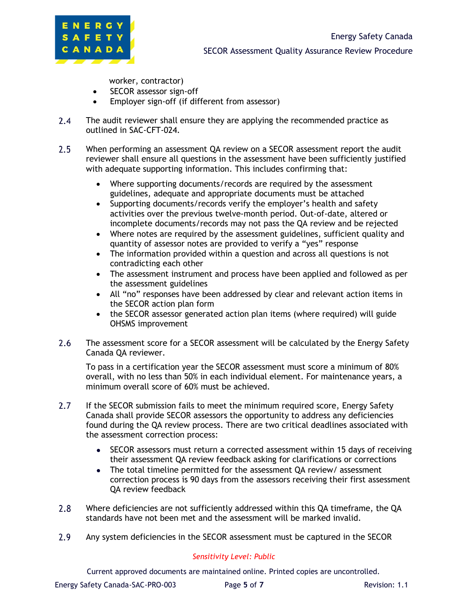

worker, contractor)

- SECOR assessor sign-off
- Employer sign-off (if different from assessor)
- $2.4$ The audit reviewer shall ensure they are applying the recommended practice as outlined in SAC-CFT-024.
- $2.5$ When performing an assessment QA review on a SECOR assessment report the audit reviewer shall ensure all questions in the assessment have been sufficiently justified with adequate supporting information. This includes confirming that:
	- Where supporting documents/records are required by the assessment guidelines, adequate and appropriate documents must be attached
	- Supporting documents/records verify the employer's health and safety activities over the previous twelve-month period. Out-of-date, altered or incomplete documents/records may not pass the QA review and be rejected
	- Where notes are required by the assessment guidelines, sufficient quality and quantity of assessor notes are provided to verify a "yes" response
	- The information provided within a question and across all questions is not contradicting each other
	- The assessment instrument and process have been applied and followed as per the assessment guidelines
	- All "no" responses have been addressed by clear and relevant action items in the SECOR action plan form
	- the SECOR assessor generated action plan items (where required) will guide OHSMS improvement
- $2.6$ The assessment score for a SECOR assessment will be calculated by the Energy Safety Canada QA reviewer.

To pass in a certification year the SECOR assessment must score a minimum of 80% overall, with no less than 50% in each individual element. For maintenance years, a minimum overall score of 60% must be achieved.

- $2.7$ If the SECOR submission fails to meet the minimum required score, Energy Safety Canada shall provide SECOR assessors the opportunity to address any deficiencies found during the QA review process. There are two critical deadlines associated with the assessment correction process:
	- $\bullet$ SECOR assessors must return a corrected assessment within 15 days of receiving their assessment QA review feedback asking for clarifications or corrections
	- The total timeline permitted for the assessment QA review/ assessment  $\bullet$ correction process is 90 days from the assessors receiving their first assessment QA review feedback
- $2.8$ Where deficiencies are not sufficiently addressed within this QA timeframe, the QA standards have not been met and the assessment will be marked invalid.
- $2.9$ Any system deficiencies in the SECOR assessment must be captured in the SECOR

### *Sensitivity Level: Public*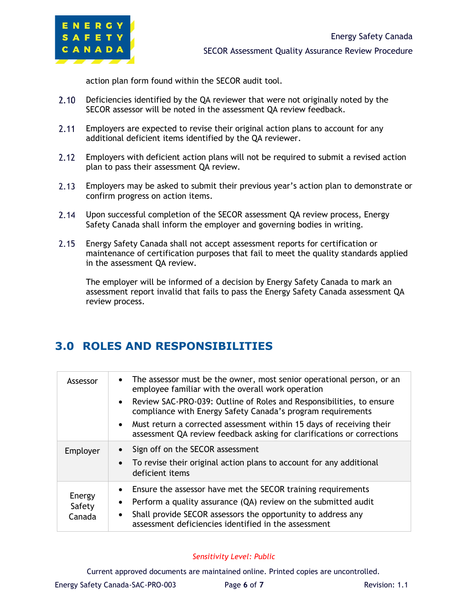

action plan form found within the SECOR audit tool.

- $2.10$ Deficiencies identified by the QA reviewer that were not originally noted by the SECOR assessor will be noted in the assessment QA review feedback.
- $2.11$ Employers are expected to revise their original action plans to account for any additional deficient items identified by the QA reviewer.
- $2.12$ Employers with deficient action plans will not be required to submit a revised action plan to pass their assessment QA review.
- $2.13$ Employers may be asked to submit their previous year's action plan to demonstrate or confirm progress on action items.
- $2.14$ Upon successful completion of the SECOR assessment QA review process, Energy Safety Canada shall inform the employer and governing bodies in writing.
- $2.15$ Energy Safety Canada shall not accept assessment reports for certification or maintenance of certification purposes that fail to meet the quality standards applied in the assessment QA review.

The employer will be informed of a decision by Energy Safety Canada to mark an assessment report invalid that fails to pass the Energy Safety Canada assessment QA review process.

## **3.0 ROLES AND RESPONSIBILITIES**

| Assessor                   | The assessor must be the owner, most senior operational person, or an<br>$\bullet$<br>employee familiar with the overall work operation<br>• Review SAC-PRO-039: Outline of Roles and Responsibilities, to ensure<br>compliance with Energy Safety Canada's program requirements |  |
|----------------------------|----------------------------------------------------------------------------------------------------------------------------------------------------------------------------------------------------------------------------------------------------------------------------------|--|
|                            | Must return a corrected assessment within 15 days of receiving their<br>$\bullet$<br>assessment QA review feedback asking for clarifications or corrections                                                                                                                      |  |
| Employer                   | Sign off on the SECOR assessment<br>$\bullet$<br>To revise their original action plans to account for any additional<br>$\bullet$<br>deficient items                                                                                                                             |  |
| Energy<br>Safety<br>Canada | Ensure the assessor have met the SECOR training requirements<br>$\bullet$<br>Perform a quality assurance (QA) review on the submitted audit<br>$\bullet$<br>Shall provide SECOR assessors the opportunity to address any<br>assessment deficiencies identified in the assessment |  |

### *Sensitivity Level: Public*